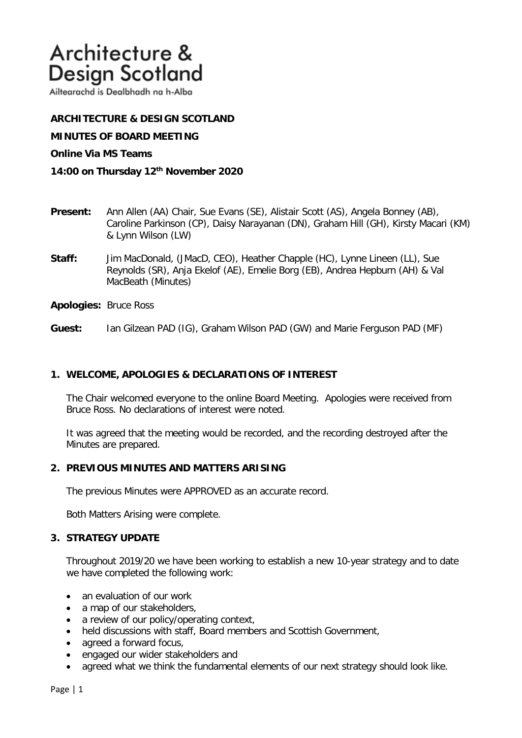# Architecture & Design Scotland

Ailtearachd is Dealbhadh na h-Alba

**ARCHITECTURE & DESIGN SCOTLAND** 

**MINUTES OF BOARD MEETING** 

## **Online Via MS Teams**

- **14:00 on Thursday 12th November 2020**
- **Present:** Ann Allen (AA) Chair, Sue Evans (SE), Alistair Scott (AS), Angela Bonney (AB), Caroline Parkinson (CP), Daisy Narayanan (DN), Graham Hill (GH), Kirsty Macari (KM) & Lynn Wilson (LW)
- **Staff:** Jim MacDonald, (JMacD, CEO), Heather Chapple (HC), Lynne Lineen (LL), Sue Reynolds (SR), Anja Ekelof (AE), Emelie Borg (EB), Andrea Hepburn (AH) & Val MacBeath (Minutes)
- **Apologies:** Bruce Ross
- **Guest:** Ian Gilzean PAD (IG), Graham Wilson PAD (GW) and Marie Ferguson PAD (MF)

## **1. WELCOME, APOLOGIES & DECLARATIONS OF INTEREST**

The Chair welcomed everyone to the online Board Meeting. Apologies were received from Bruce Ross. No declarations of interest were noted.

It was agreed that the meeting would be recorded, and the recording destroyed after the Minutes are prepared.

## **2. PREVIOUS MINUTES AND MATTERS ARISING**

The previous Minutes were APPROVED as an accurate record.

Both Matters Arising were complete.

## **3. STRATEGY UPDATE**

Throughout 2019/20 we have been working to establish a new 10-year strategy and to date we have completed the following work:

- an evaluation of our work
- a map of our stakeholders,
- a review of our policy/operating context,
- held discussions with staff, Board members and Scottish Government,
- agreed a forward focus,
- engaged our wider stakeholders and
- agreed what we think the fundamental elements of our next strategy should look like.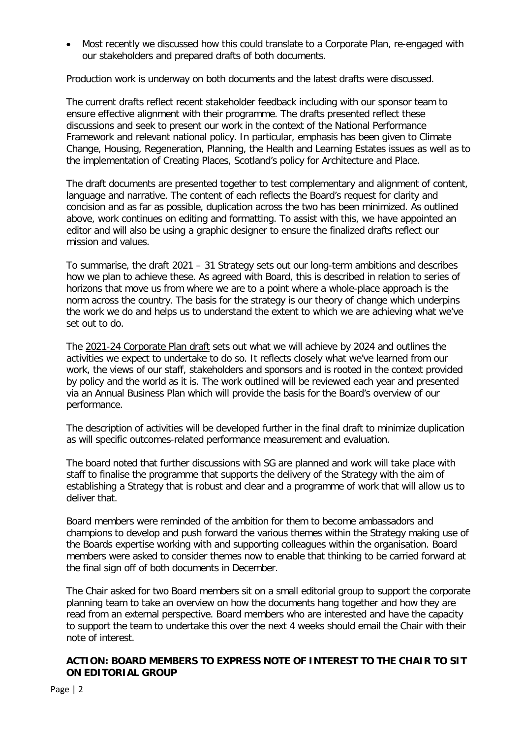• Most recently we discussed how this could translate to a Corporate Plan, re-engaged with our stakeholders and prepared drafts of both documents.

Production work is underway on both documents and the latest drafts were discussed.

The current drafts reflect recent stakeholder feedback including with our sponsor team to ensure effective alignment with their programme. The drafts presented reflect these discussions and seek to present our work in the context of the National Performance Framework and relevant national policy. In particular, emphasis has been given to Climate Change, Housing, Regeneration, Planning, the Health and Learning Estates issues as well as to the implementation of Creating Places, Scotland's policy for Architecture and Place.

The draft documents are presented together to test complementary and alignment of content, language and narrative. The content of each reflects the Board's request for clarity and concision and as far as possible, duplication across the two has been minimized. As outlined above, work continues on editing and formatting. To assist with this, we have appointed an editor and will also be using a graphic designer to ensure the finalized drafts reflect our mission and values.

To summarise, the draft 2021 – 31 Strategy sets out our long-term ambitions and describes how we plan to achieve these. As agreed with Board, this is described in relation to series of horizons that move us from where we are to a point where a whole-place approach is the norm across the country. The basis for the strategy is our theory of change which underpins the work we do and helps us to understand the extent to which we are achieving what we've set out to do.

The 2021-24 Corporate Plan draft sets out what we will achieve by 2024 and outlines the activities we expect to undertake to do so. It reflects closely what we've learned from our work, the views of our staff, stakeholders and sponsors and is rooted in the context provided by policy and the world as it is. The work outlined will be reviewed each year and presented via an Annual Business Plan which will provide the basis for the Board's overview of our performance.

The description of activities will be developed further in the final draft to minimize duplication as will specific outcomes-related performance measurement and evaluation.

The board noted that further discussions with SG are planned and work will take place with staff to finalise the programme that supports the delivery of the Strategy with the aim of establishing a Strategy that is robust and clear and a programme of work that will allow us to deliver that.

Board members were reminded of the ambition for them to become ambassadors and champions to develop and push forward the various themes within the Strategy making use of the Boards expertise working with and supporting colleagues within the organisation. Board members were asked to consider themes now to enable that thinking to be carried forward at the final sign off of both documents in December.

The Chair asked for two Board members sit on a small editorial group to support the corporate planning team to take an overview on how the documents hang together and how they are read from an external perspective. Board members who are interested and have the capacity to support the team to undertake this over the next 4 weeks should email the Chair with their note of interest.

## **ACTION: BOARD MEMBERS TO EXPRESS NOTE OF INTEREST TO THE CHAIR TO SIT ON EDITORIAL GROUP**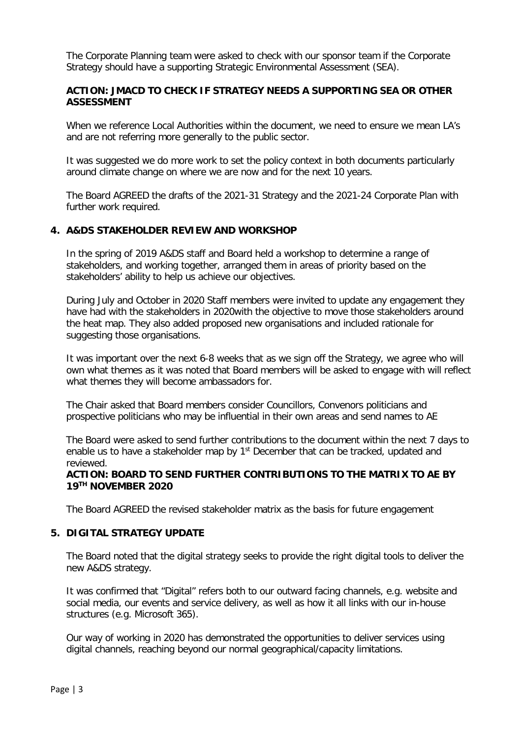The Corporate Planning team were asked to check with our sponsor team if the Corporate Strategy should have a supporting Strategic Environmental Assessment (SEA).

# **ACTION: JMACD TO CHECK IF STRATEGY NEEDS A SUPPORTING SEA OR OTHER ASSESSMENT**

When we reference Local Authorities within the document, we need to ensure we mean LA's and are not referring more generally to the public sector.

It was suggested we do more work to set the policy context in both documents particularly around climate change on where we are now and for the next 10 years.

The Board AGREED the drafts of the 2021-31 Strategy and the 2021-24 Corporate Plan with further work required.

## **4. A&DS STAKEHOLDER REVIEW AND WORKSHOP**

In the spring of 2019 A&DS staff and Board held a workshop to determine a range of stakeholders, and working together, arranged them in areas of priority based on the stakeholders' ability to help us achieve our objectives.

During July and October in 2020 Staff members were invited to update any engagement they have had with the stakeholders in 2020with the objective to move those stakeholders around the heat map. They also added proposed new organisations and included rationale for suggesting those organisations.

It was important over the next 6-8 weeks that as we sign off the Strategy, we agree who will own what themes as it was noted that Board members will be asked to engage with will reflect what themes they will become ambassadors for.

The Chair asked that Board members consider Councillors, Convenors politicians and prospective politicians who may be influential in their own areas and send names to AE

The Board were asked to send further contributions to the document within the next 7 days to enable us to have a stakeholder map by 1<sup>st</sup> December that can be tracked, updated and reviewed.

## **ACTION: BOARD TO SEND FURTHER CONTRIBUTIONS TO THE MATRIX TO AE BY 19TH NOVEMBER 2020**

The Board AGREED the revised stakeholder matrix as the basis for future engagement

## **5. DIGITAL STRATEGY UPDATE**

The Board noted that the digital strategy seeks to provide the right digital tools to deliver the new A&DS strategy.

It was confirmed that "Digital" refers both to our outward facing channels, e.g. website and social media, our events and service delivery, as well as how it all links with our in-house structures (e.g. Microsoft 365).

Our way of working in 2020 has demonstrated the opportunities to deliver services using digital channels, reaching beyond our normal geographical/capacity limitations.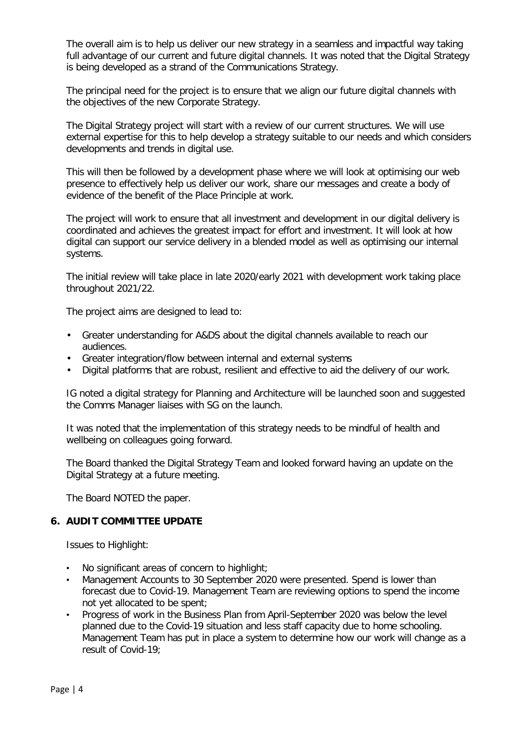The overall aim is to help us deliver our new strategy in a seamless and impactful way taking full advantage of our current and future digital channels. It was noted that the Digital Strategy is being developed as a strand of the Communications Strategy.

The principal need for the project is to ensure that we align our future digital channels with the objectives of the new Corporate Strategy.

The Digital Strategy project will start with a review of our current structures. We will use external expertise for this to help develop a strategy suitable to our needs and which considers developments and trends in digital use.

This will then be followed by a development phase where we will look at optimising our web presence to effectively help us deliver our work, share our messages and create a body of evidence of the benefit of the Place Principle at work.

The project will work to ensure that all investment and development in our digital delivery is coordinated and achieves the greatest impact for effort and investment. It will look at how digital can support our service delivery in a blended model as well as optimising our internal systems.

The initial review will take place in late 2020/early 2021 with development work taking place throughout 2021/22.

The project aims are designed to lead to:

- Greater understanding for A&DS about the digital channels available to reach our audiences.
- Greater integration/flow between internal and external systems
- Digital platforms that are robust, resilient and effective to aid the delivery of our work.

IG noted a digital strategy for Planning and Architecture will be launched soon and suggested the Comms Manager liaises with SG on the launch.

It was noted that the implementation of this strategy needs to be mindful of health and wellbeing on colleagues going forward.

The Board thanked the Digital Strategy Team and looked forward having an update on the Digital Strategy at a future meeting.

The Board NOTED the paper.

## **6. AUDIT COMMITTEE UPDATE**

Issues to Highlight:

- No significant areas of concern to highlight;
- Management Accounts to 30 September 2020 were presented. Spend is lower than forecast due to Covid-19. Management Team are reviewing options to spend the income not yet allocated to be spent;
- Progress of work in the Business Plan from April-September 2020 was below the level planned due to the Covid-19 situation and less staff capacity due to home schooling. Management Team has put in place a system to determine how our work will change as a result of Covid-19;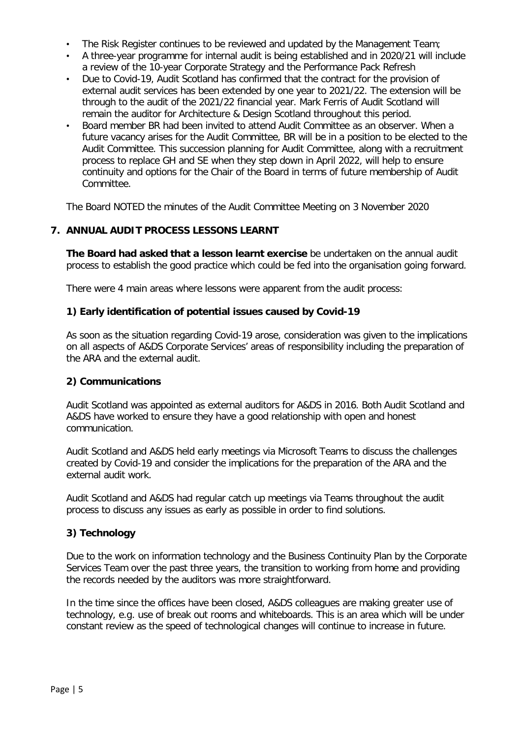- The Risk Register continues to be reviewed and updated by the Management Team;
- A three-year programme for internal audit is being established and in 2020/21 will include a review of the 10-year Corporate Strategy and the Performance Pack Refresh
- Due to Covid-19, Audit Scotland has confirmed that the contract for the provision of external audit services has been extended by one year to 2021/22. The extension will be through to the audit of the 2021/22 financial year. Mark Ferris of Audit Scotland will remain the auditor for Architecture & Design Scotland throughout this period.
- Board member BR had been invited to attend Audit Committee as an observer. When a future vacancy arises for the Audit Committee, BR will be in a position to be elected to the Audit Committee. This succession planning for Audit Committee, along with a recruitment process to replace GH and SE when they step down in April 2022, will help to ensure continuity and options for the Chair of the Board in terms of future membership of Audit Committee.

The Board NOTED the minutes of the Audit Committee Meeting on 3 November 2020

# **7. ANNUAL AUDIT PROCESS LESSONS LEARNT**

**The Board had asked that a lesson learnt exercise** be undertaken on the annual audit process to establish the good practice which could be fed into the organisation going forward.

There were 4 main areas where lessons were apparent from the audit process:

# **1) Early identification of potential issues caused by Covid-19**

As soon as the situation regarding Covid-19 arose, consideration was given to the implications on all aspects of A&DS Corporate Services' areas of responsibility including the preparation of the ARA and the external audit.

## **2) Communications**

Audit Scotland was appointed as external auditors for A&DS in 2016. Both Audit Scotland and A&DS have worked to ensure they have a good relationship with open and honest communication.

Audit Scotland and A&DS held early meetings via Microsoft Teams to discuss the challenges created by Covid-19 and consider the implications for the preparation of the ARA and the external audit work.

Audit Scotland and A&DS had regular catch up meetings via Teams throughout the audit process to discuss any issues as early as possible in order to find solutions.

# **3) Technology**

Due to the work on information technology and the Business Continuity Plan by the Corporate Services Team over the past three years, the transition to working from home and providing the records needed by the auditors was more straightforward.

In the time since the offices have been closed, A&DS colleagues are making greater use of technology, e.g. use of break out rooms and whiteboards. This is an area which will be under constant review as the speed of technological changes will continue to increase in future.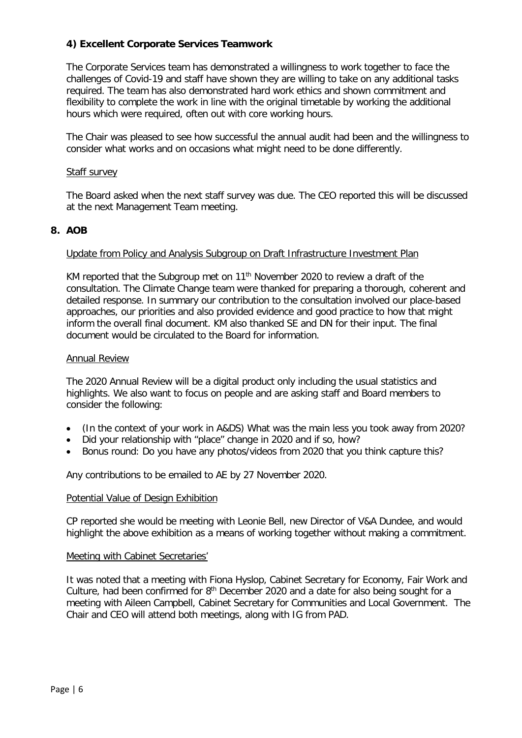# **4) Excellent Corporate Services Teamwork**

The Corporate Services team has demonstrated a willingness to work together to face the challenges of Covid-19 and staff have shown they are willing to take on any additional tasks required. The team has also demonstrated hard work ethics and shown commitment and flexibility to complete the work in line with the original timetable by working the additional hours which were required, often out with core working hours.

The Chair was pleased to see how successful the annual audit had been and the willingness to consider what works and on occasions what might need to be done differently.

#### Staff survey

The Board asked when the next staff survey was due. The CEO reported this will be discussed at the next Management Team meeting.

## **8. AOB**

#### Update from Policy and Analysis Subgroup on Draft Infrastructure Investment Plan

KM reported that the Subgroup met on 11<sup>th</sup> November 2020 to review a draft of the consultation. The Climate Change team were thanked for preparing a thorough, coherent and detailed response. In summary our contribution to the consultation involved our place-based approaches, our priorities and also provided evidence and good practice to how that might inform the overall final document. KM also thanked SE and DN for their input. The final document would be circulated to the Board for information.

#### Annual Review

The 2020 Annual Review will be a digital product only including the usual statistics and highlights. We also want to focus on people and are asking staff and Board members to consider the following:

- (In the context of your work in A&DS) What was the main less you took away from 2020?
- Did your relationship with "place" change in 2020 and if so, how?
- Bonus round: Do you have any photos/videos from 2020 that you think capture this?

Any contributions to be emailed to AE by 27 November 2020.

#### Potential Value of Design Exhibition

CP reported she would be meeting with Leonie Bell, new Director of V&A Dundee, and would highlight the above exhibition as a means of working together without making a commitment.

#### Meeting with Cabinet Secretaries'

It was noted that a meeting with Fiona Hyslop, Cabinet Secretary for Economy, Fair Work and Culture, had been confirmed for  $8<sup>th</sup>$  December 2020 and a date for also being sought for a meeting with Aileen Campbell, Cabinet Secretary for Communities and Local Government. The Chair and CEO will attend both meetings, along with IG from PAD.